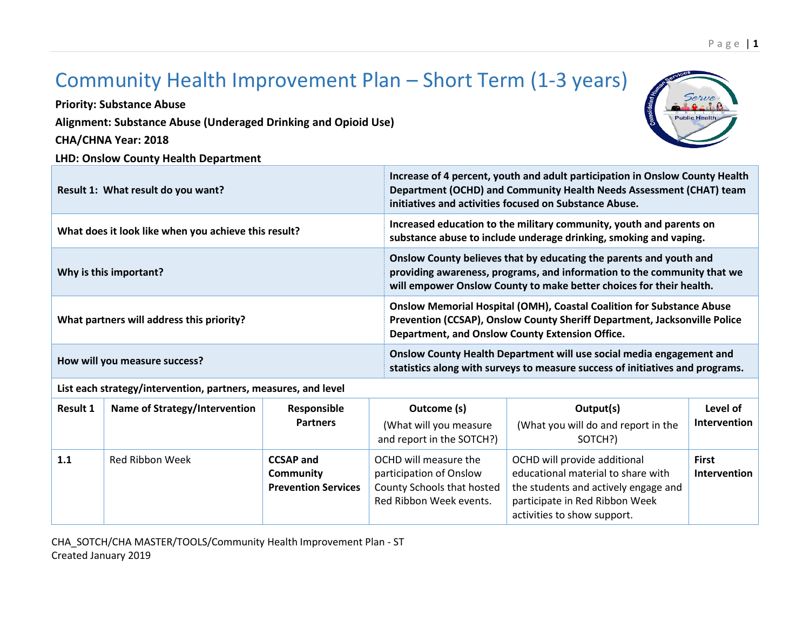## Community Health Improvement Plan – Short Term (1-3 years)

**Priority: Substance Abuse**

**Alignment: Substance Abuse (Underaged Drinking and Opioid Use)**

**CHA/CHNA Year: 2018**

**LHD: Onslow County Health Department** 



P a g e | **1**

| Result 1: What result do you want?                   | Increase of 4 percent, youth and adult participation in Onslow County Health<br>Department (OCHD) and Community Health Needs Assessment (CHAT) team<br>initiatives and activities focused on Substance Abuse.        |
|------------------------------------------------------|----------------------------------------------------------------------------------------------------------------------------------------------------------------------------------------------------------------------|
| What does it look like when you achieve this result? | Increased education to the military community, youth and parents on<br>substance abuse to include underage drinking, smoking and vaping.                                                                             |
| Why is this important?                               | Onslow County believes that by educating the parents and youth and<br>providing awareness, programs, and information to the community that we<br>will empower Onslow County to make better choices for their health. |
| What partners will address this priority?            | Onslow Memorial Hospital (OMH), Coastal Coalition for Substance Abuse<br>Prevention (CCSAP), Onslow County Sheriff Department, Jacksonville Police<br>Department, and Onslow County Extension Office.                |
| How will you measure success?                        | Onslow County Health Department will use social media engagement and<br>statistics along with surveys to measure success of initiatives and programs.                                                                |

**List each strategy/intervention, partners, measures, and level**

| <b>Result 1</b> | Name of Strategy/Intervention | Responsible<br><b>Partners</b>                                     | Outcome (s)<br>(What will you measure<br>and report in the SOTCH?)                                        | Output(s)<br>(What you will do and report in the<br>SOTCH?)                                                                                                                 | Level of<br>Intervention     |
|-----------------|-------------------------------|--------------------------------------------------------------------|-----------------------------------------------------------------------------------------------------------|-----------------------------------------------------------------------------------------------------------------------------------------------------------------------------|------------------------------|
| 1.1             | Red Ribbon Week               | <b>CCSAP and</b><br><b>Community</b><br><b>Prevention Services</b> | OCHD will measure the<br>participation of Onslow<br>County Schools that hosted<br>Red Ribbon Week events. | OCHD will provide additional<br>educational material to share with<br>the students and actively engage and<br>participate in Red Ribbon Week<br>activities to show support. | <b>First</b><br>Intervention |

CHA\_SOTCH/CHA MASTER/TOOLS/Community Health Improvement Plan - ST Created January 2019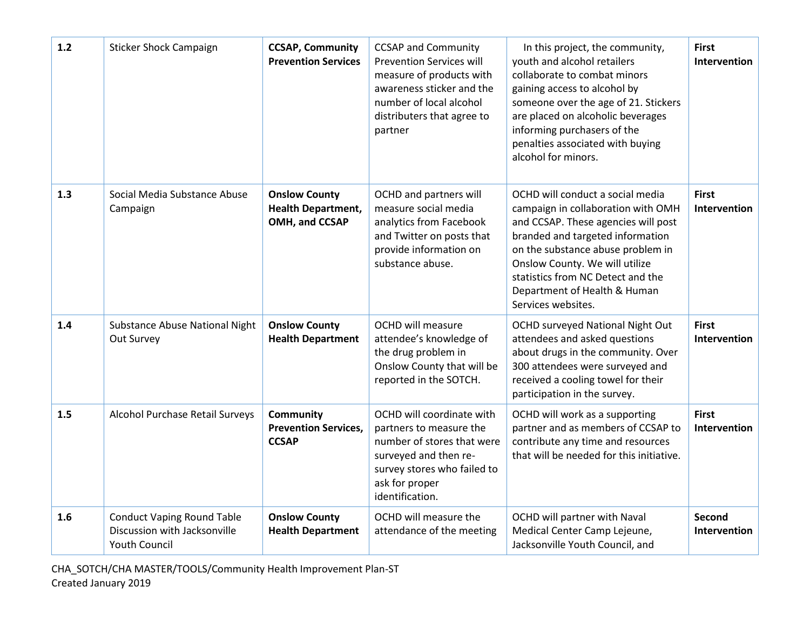| $1.2$ | <b>Sticker Shock Campaign</b>                                                             | <b>CCSAP, Community</b><br><b>Prevention Services</b>               | <b>CCSAP and Community</b><br><b>Prevention Services will</b><br>measure of products with<br>awareness sticker and the<br>number of local alcohol<br>distributers that agree to<br>partner | In this project, the community,<br>youth and alcohol retailers<br>collaborate to combat minors<br>gaining access to alcohol by<br>someone over the age of 21. Stickers<br>are placed on alcoholic beverages<br>informing purchasers of the<br>penalties associated with buying<br>alcohol for minors.               | <b>First</b><br>Intervention        |
|-------|-------------------------------------------------------------------------------------------|---------------------------------------------------------------------|--------------------------------------------------------------------------------------------------------------------------------------------------------------------------------------------|---------------------------------------------------------------------------------------------------------------------------------------------------------------------------------------------------------------------------------------------------------------------------------------------------------------------|-------------------------------------|
| 1.3   | Social Media Substance Abuse<br>Campaign                                                  | <b>Onslow County</b><br><b>Health Department,</b><br>OMH, and CCSAP | OCHD and partners will<br>measure social media<br>analytics from Facebook<br>and Twitter on posts that<br>provide information on<br>substance abuse.                                       | OCHD will conduct a social media<br>campaign in collaboration with OMH<br>and CCSAP. These agencies will post<br>branded and targeted information<br>on the substance abuse problem in<br>Onslow County. We will utilize<br>statistics from NC Detect and the<br>Department of Health & Human<br>Services websites. | <b>First</b><br><b>Intervention</b> |
| 1.4   | Substance Abuse National Night<br>Out Survey                                              | <b>Onslow County</b><br><b>Health Department</b>                    | <b>OCHD will measure</b><br>attendee's knowledge of<br>the drug problem in<br>Onslow County that will be<br>reported in the SOTCH.                                                         | OCHD surveyed National Night Out<br>attendees and asked questions<br>about drugs in the community. Over<br>300 attendees were surveyed and<br>received a cooling towel for their<br>participation in the survey.                                                                                                    | <b>First</b><br><b>Intervention</b> |
| 1.5   | Alcohol Purchase Retail Surveys                                                           | <b>Community</b><br><b>Prevention Services,</b><br><b>CCSAP</b>     | OCHD will coordinate with<br>partners to measure the<br>number of stores that were<br>surveyed and then re-<br>survey stores who failed to<br>ask for proper<br>identification.            | OCHD will work as a supporting<br>partner and as members of CCSAP to<br>contribute any time and resources<br>that will be needed for this initiative.                                                                                                                                                               | <b>First</b><br><b>Intervention</b> |
| 1.6   | <b>Conduct Vaping Round Table</b><br>Discussion with Jacksonville<br><b>Youth Council</b> | <b>Onslow County</b><br><b>Health Department</b>                    | OCHD will measure the<br>attendance of the meeting                                                                                                                                         | OCHD will partner with Naval<br>Medical Center Camp Lejeune,<br>Jacksonville Youth Council, and                                                                                                                                                                                                                     | <b>Second</b><br>Intervention       |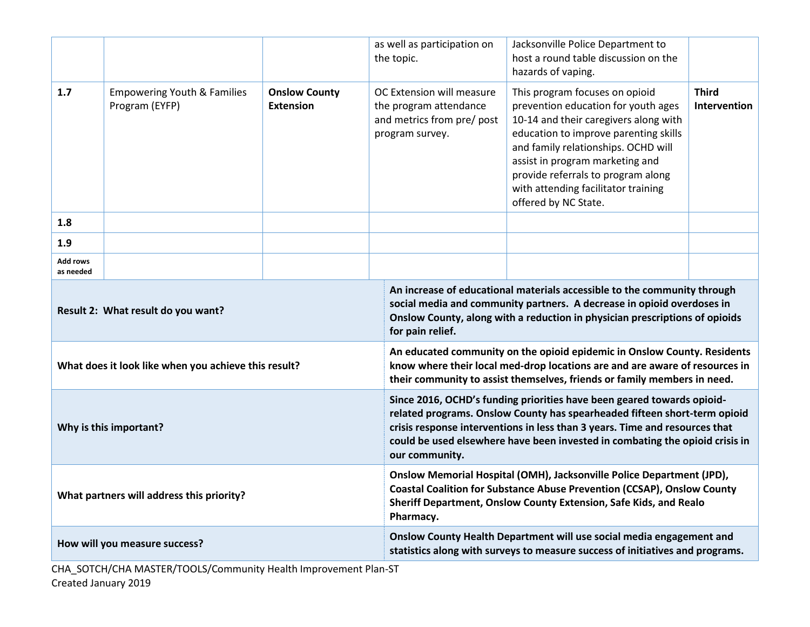|                                                      |                                                          |                                                                                                                                                                                                                                                                                                                                      | as well as participation on<br>the topic.                                                                                                                                                                                                             | Jacksonville Police Department to<br>host a round table discussion on the<br>hazards of vaping.                                                                                                                                                                                                                                        |                                     |  |
|------------------------------------------------------|----------------------------------------------------------|--------------------------------------------------------------------------------------------------------------------------------------------------------------------------------------------------------------------------------------------------------------------------------------------------------------------------------------|-------------------------------------------------------------------------------------------------------------------------------------------------------------------------------------------------------------------------------------------------------|----------------------------------------------------------------------------------------------------------------------------------------------------------------------------------------------------------------------------------------------------------------------------------------------------------------------------------------|-------------------------------------|--|
| 1.7                                                  | <b>Empowering Youth &amp; Families</b><br>Program (EYFP) | <b>Onslow County</b><br><b>Extension</b>                                                                                                                                                                                                                                                                                             | OC Extension will measure<br>the program attendance<br>and metrics from pre/ post<br>program survey.                                                                                                                                                  | This program focuses on opioid<br>prevention education for youth ages<br>10-14 and their caregivers along with<br>education to improve parenting skills<br>and family relationships. OCHD will<br>assist in program marketing and<br>provide referrals to program along<br>with attending facilitator training<br>offered by NC State. | <b>Third</b><br><b>Intervention</b> |  |
| 1.8                                                  |                                                          |                                                                                                                                                                                                                                                                                                                                      |                                                                                                                                                                                                                                                       |                                                                                                                                                                                                                                                                                                                                        |                                     |  |
| 1.9                                                  |                                                          |                                                                                                                                                                                                                                                                                                                                      |                                                                                                                                                                                                                                                       |                                                                                                                                                                                                                                                                                                                                        |                                     |  |
| Add rows<br>as needed                                |                                                          |                                                                                                                                                                                                                                                                                                                                      |                                                                                                                                                                                                                                                       |                                                                                                                                                                                                                                                                                                                                        |                                     |  |
| Result 2: What result do you want?                   |                                                          |                                                                                                                                                                                                                                                                                                                                      | An increase of educational materials accessible to the community through<br>social media and community partners. A decrease in opioid overdoses in<br>Onslow County, along with a reduction in physician prescriptions of opioids<br>for pain relief. |                                                                                                                                                                                                                                                                                                                                        |                                     |  |
| What does it look like when you achieve this result? |                                                          |                                                                                                                                                                                                                                                                                                                                      | An educated community on the opioid epidemic in Onslow County. Residents<br>know where their local med-drop locations are and are aware of resources in<br>their community to assist themselves, friends or family members in need.                   |                                                                                                                                                                                                                                                                                                                                        |                                     |  |
| Why is this important?                               |                                                          | Since 2016, OCHD's funding priorities have been geared towards opioid-<br>related programs. Onslow County has spearheaded fifteen short-term opioid<br>crisis response interventions in less than 3 years. Time and resources that<br>could be used elsewhere have been invested in combating the opioid crisis in<br>our community. |                                                                                                                                                                                                                                                       |                                                                                                                                                                                                                                                                                                                                        |                                     |  |
| What partners will address this priority?            |                                                          | Onslow Memorial Hospital (OMH), Jacksonville Police Department (JPD),<br><b>Coastal Coalition for Substance Abuse Prevention (CCSAP), Onslow County</b><br>Sheriff Department, Onslow County Extension, Safe Kids, and Realo<br>Pharmacy.                                                                                            |                                                                                                                                                                                                                                                       |                                                                                                                                                                                                                                                                                                                                        |                                     |  |
| How will you measure success?                        |                                                          |                                                                                                                                                                                                                                                                                                                                      | Onslow County Health Department will use social media engagement and<br>statistics along with surveys to measure success of initiatives and programs.                                                                                                 |                                                                                                                                                                                                                                                                                                                                        |                                     |  |

CHA\_SOTCH/CHA MASTER/TOOLS/Community Health Improvement Plan-ST Created January 2019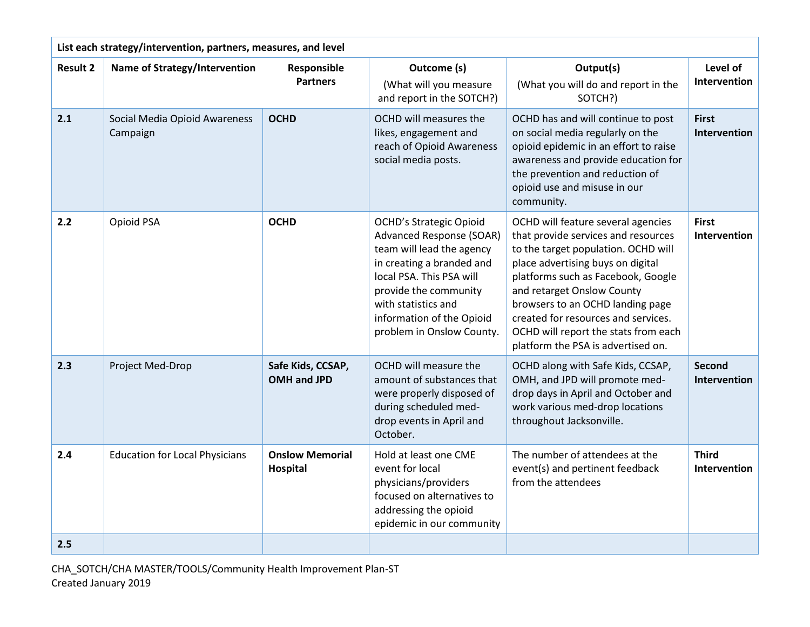| List each strategy/intervention, partners, measures, and level |                                           |                                    |                                                                                                                                                                                                                                                                   |                                                                                                                                                                                                                                                                                                                                                                                    |                                     |  |
|----------------------------------------------------------------|-------------------------------------------|------------------------------------|-------------------------------------------------------------------------------------------------------------------------------------------------------------------------------------------------------------------------------------------------------------------|------------------------------------------------------------------------------------------------------------------------------------------------------------------------------------------------------------------------------------------------------------------------------------------------------------------------------------------------------------------------------------|-------------------------------------|--|
| <b>Result 2</b>                                                | Name of Strategy/Intervention             | Responsible<br><b>Partners</b>     | Outcome (s)<br>(What will you measure<br>and report in the SOTCH?)                                                                                                                                                                                                | Output(s)<br>(What you will do and report in the<br>SOTCH?)                                                                                                                                                                                                                                                                                                                        | Level of<br>Intervention            |  |
| 2.1                                                            | Social Media Opioid Awareness<br>Campaign | <b>OCHD</b>                        | OCHD will measures the<br>likes, engagement and<br>reach of Opioid Awareness<br>social media posts.                                                                                                                                                               | OCHD has and will continue to post<br>on social media regularly on the<br>opioid epidemic in an effort to raise<br>awareness and provide education for<br>the prevention and reduction of<br>opioid use and misuse in our<br>community.                                                                                                                                            | <b>First</b><br>Intervention        |  |
| 2.2                                                            | Opioid PSA                                | <b>OCHD</b>                        | <b>OCHD's Strategic Opioid</b><br><b>Advanced Response (SOAR)</b><br>team will lead the agency<br>in creating a branded and<br>local PSA. This PSA will<br>provide the community<br>with statistics and<br>information of the Opioid<br>problem in Onslow County. | OCHD will feature several agencies<br>that provide services and resources<br>to the target population. OCHD will<br>place advertising buys on digital<br>platforms such as Facebook, Google<br>and retarget Onslow County<br>browsers to an OCHD landing page<br>created for resources and services.<br>OCHD will report the stats from each<br>platform the PSA is advertised on. | <b>First</b><br><b>Intervention</b> |  |
| 2.3                                                            | Project Med-Drop                          | Safe Kids, CCSAP,<br>OMH and JPD   | OCHD will measure the<br>amount of substances that<br>were properly disposed of<br>during scheduled med-<br>drop events in April and<br>October.                                                                                                                  | OCHD along with Safe Kids, CCSAP,<br>OMH, and JPD will promote med-<br>drop days in April and October and<br>work various med-drop locations<br>throughout Jacksonville.                                                                                                                                                                                                           | <b>Second</b><br>Intervention       |  |
| 2.4                                                            | <b>Education for Local Physicians</b>     | <b>Onslow Memorial</b><br>Hospital | Hold at least one CME<br>event for local<br>physicians/providers<br>focused on alternatives to<br>addressing the opioid<br>epidemic in our community                                                                                                              | The number of attendees at the<br>event(s) and pertinent feedback<br>from the attendees                                                                                                                                                                                                                                                                                            | <b>Third</b><br>Intervention        |  |
| 2.5                                                            |                                           |                                    |                                                                                                                                                                                                                                                                   |                                                                                                                                                                                                                                                                                                                                                                                    |                                     |  |

CHA\_SOTCH/CHA MASTER/TOOLS/Community Health Improvement Plan-ST Created January 2019